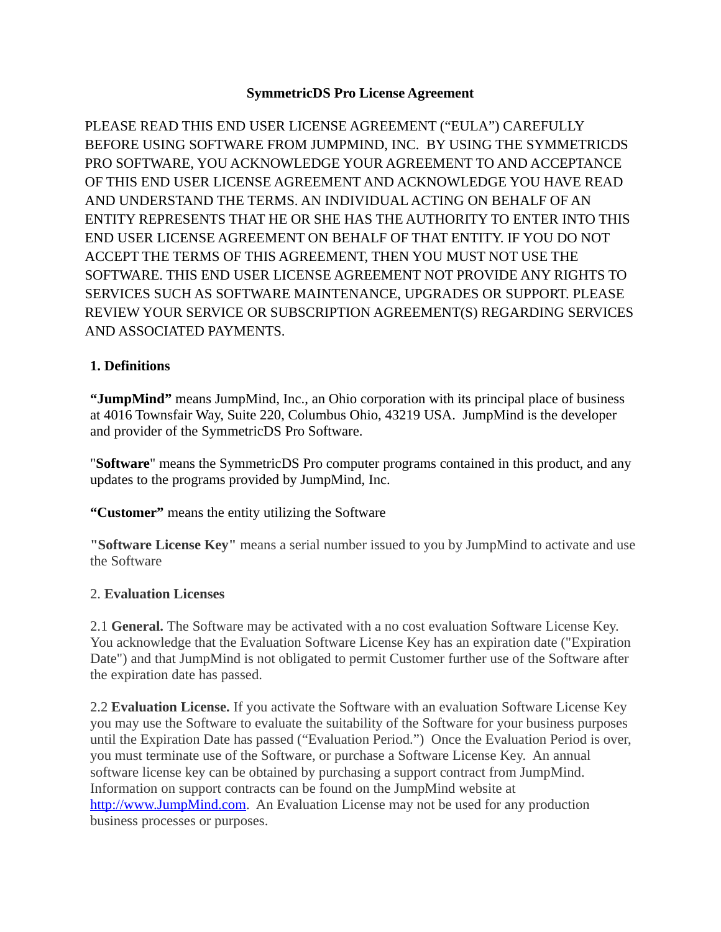### **SymmetricDS Pro License Agreement**

PLEASE READ THIS END USER LICENSE AGREEMENT ("EULA") CAREFULLY BEFORE USING SOFTWARE FROM JUMPMIND, INC. BY USING THE SYMMETRICDS PRO SOFTWARE, YOU ACKNOWLEDGE YOUR AGREEMENT TO AND ACCEPTANCE OF THIS END USER LICENSE AGREEMENT AND ACKNOWLEDGE YOU HAVE READ AND UNDERSTAND THE TERMS. AN INDIVIDUAL ACTING ON BEHALF OF AN ENTITY REPRESENTS THAT HE OR SHE HAS THE AUTHORITY TO ENTER INTO THIS END USER LICENSE AGREEMENT ON BEHALF OF THAT ENTITY. IF YOU DO NOT ACCEPT THE TERMS OF THIS AGREEMENT, THEN YOU MUST NOT USE THE SOFTWARE. THIS END USER LICENSE AGREEMENT NOT PROVIDE ANY RIGHTS TO SERVICES SUCH AS SOFTWARE MAINTENANCE, UPGRADES OR SUPPORT. PLEASE REVIEW YOUR SERVICE OR SUBSCRIPTION AGREEMENT(S) REGARDING SERVICES AND ASSOCIATED PAYMENTS.

#### **1. Definitions**

**"JumpMind"** means JumpMind, Inc., an Ohio corporation with its principal place of business at 4016 Townsfair Way, Suite 220, Columbus Ohio, 43219 USA. JumpMind is the developer and provider of the SymmetricDS Pro Software.

"**Software**" means the SymmetricDS Pro computer programs contained in this product, and any updates to the programs provided by JumpMind, Inc.

**"Customer"** means the entity utilizing the Software

**"Software License Key"** means a serial number issued to you by JumpMind to activate and use the Software

#### 2. **Evaluation Licenses**

2.1 **General.** The Software may be activated with a no cost evaluation Software License Key. You acknowledge that the Evaluation Software License Key has an expiration date ("Expiration Date") and that JumpMind is not obligated to permit Customer further use of the Software after the expiration date has passed.

2.2 **Evaluation License.** If you activate the Software with an evaluation Software License Key you may use the Software to evaluate the suitability of the Software for your business purposes until the Expiration Date has passed ("Evaluation Period.") Once the Evaluation Period is over, you must terminate use of the Software, or purchase a Software License Key. An annual software license key can be obtained by purchasing a support contract from JumpMind. Information on support contracts can be found on the JumpMind website at [http://www.JumpMind.com.](http://www.JumpMind.com/) An Evaluation License may not be used for any production business processes or purposes.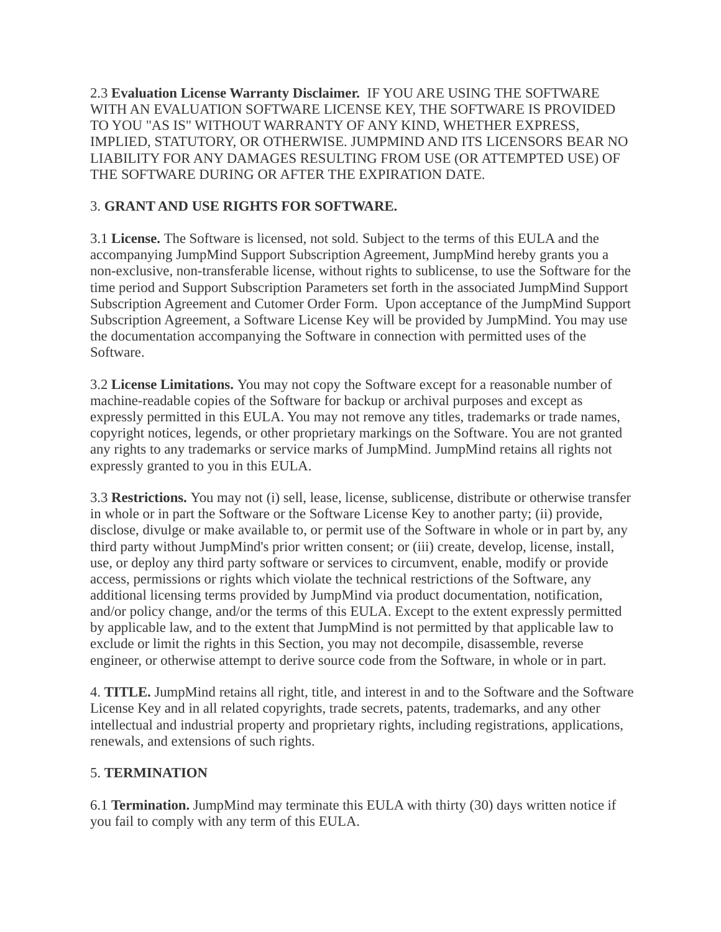2.3 **Evaluation License Warranty Disclaimer.** IF YOU ARE USING THE SOFTWARE WITH AN EVALUATION SOFTWARE LICENSE KEY, THE SOFTWARE IS PROVIDED TO YOU "AS IS" WITHOUT WARRANTY OF ANY KIND, WHETHER EXPRESS, IMPLIED, STATUTORY, OR OTHERWISE. JUMPMIND AND ITS LICENSORS BEAR NO LIABILITY FOR ANY DAMAGES RESULTING FROM USE (OR ATTEMPTED USE) OF THE SOFTWARE DURING OR AFTER THE EXPIRATION DATE.

## 3. **GRANT AND USE RIGHTS FOR SOFTWARE.**

3.1 **License.** The Software is licensed, not sold. Subject to the terms of this EULA and the accompanying JumpMind Support Subscription Agreement, JumpMind hereby grants you a non-exclusive, non-transferable license, without rights to sublicense, to use the Software for the time period and Support Subscription Parameters set forth in the associated JumpMind Support Subscription Agreement and Cutomer Order Form. Upon acceptance of the JumpMind Support Subscription Agreement, a Software License Key will be provided by JumpMind. You may use the documentation accompanying the Software in connection with permitted uses of the Software.

3.2 **License Limitations.** You may not copy the Software except for a reasonable number of machine-readable copies of the Software for backup or archival purposes and except as expressly permitted in this EULA. You may not remove any titles, trademarks or trade names, copyright notices, legends, or other proprietary markings on the Software. You are not granted any rights to any trademarks or service marks of JumpMind. JumpMind retains all rights not expressly granted to you in this EULA.

3.3 **Restrictions.** You may not (i) sell, lease, license, sublicense, distribute or otherwise transfer in whole or in part the Software or the Software License Key to another party; (ii) provide, disclose, divulge or make available to, or permit use of the Software in whole or in part by, any third party without JumpMind's prior written consent; or (iii) create, develop, license, install, use, or deploy any third party software or services to circumvent, enable, modify or provide access, permissions or rights which violate the technical restrictions of the Software, any additional licensing terms provided by JumpMind via product documentation, notification, and/or policy change, and/or the terms of this EULA. Except to the extent expressly permitted by applicable law, and to the extent that JumpMind is not permitted by that applicable law to exclude or limit the rights in this Section, you may not decompile, disassemble, reverse engineer, or otherwise attempt to derive source code from the Software, in whole or in part.

4. **TITLE.** JumpMind retains all right, title, and interest in and to the Software and the Software License Key and in all related copyrights, trade secrets, patents, trademarks, and any other intellectual and industrial property and proprietary rights, including registrations, applications, renewals, and extensions of such rights.

## 5. **TERMINATION**

6.1 **Termination.** JumpMind may terminate this EULA with thirty (30) days written notice if you fail to comply with any term of this EULA.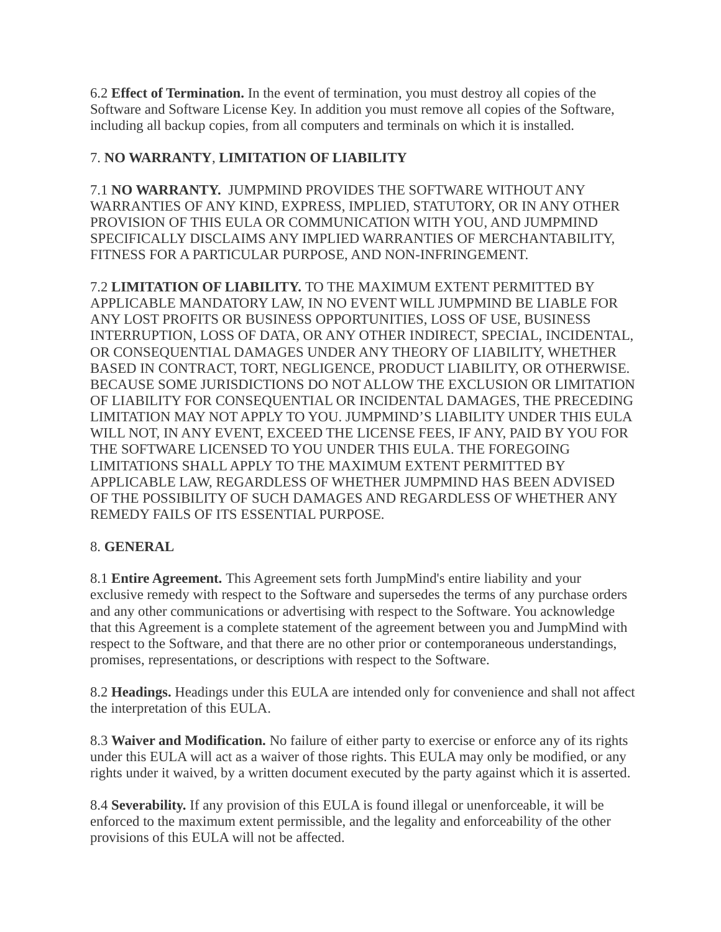6.2 **Effect of Termination.** In the event of termination, you must destroy all copies of the Software and Software License Key. In addition you must remove all copies of the Software, including all backup copies, from all computers and terminals on which it is installed.

# 7. **NO WARRANTY**, **LIMITATION OF LIABILITY**

7.1 **NO WARRANTY.** JUMPMIND PROVIDES THE SOFTWARE WITHOUT ANY WARRANTIES OF ANY KIND, EXPRESS, IMPLIED, STATUTORY, OR IN ANY OTHER PROVISION OF THIS EULA OR COMMUNICATION WITH YOU, AND JUMPMIND SPECIFICALLY DISCLAIMS ANY IMPLIED WARRANTIES OF MERCHANTABILITY, FITNESS FOR A PARTICULAR PURPOSE, AND NON-INFRINGEMENT.

7.2 **LIMITATION OF LIABILITY.** TO THE MAXIMUM EXTENT PERMITTED BY APPLICABLE MANDATORY LAW, IN NO EVENT WILL JUMPMIND BE LIABLE FOR ANY LOST PROFITS OR BUSINESS OPPORTUNITIES, LOSS OF USE, BUSINESS INTERRUPTION, LOSS OF DATA, OR ANY OTHER INDIRECT, SPECIAL, INCIDENTAL, OR CONSEQUENTIAL DAMAGES UNDER ANY THEORY OF LIABILITY, WHETHER BASED IN CONTRACT, TORT, NEGLIGENCE, PRODUCT LIABILITY, OR OTHERWISE. BECAUSE SOME JURISDICTIONS DO NOT ALLOW THE EXCLUSION OR LIMITATION OF LIABILITY FOR CONSEQUENTIAL OR INCIDENTAL DAMAGES, THE PRECEDING LIMITATION MAY NOT APPLY TO YOU. JUMPMIND'S LIABILITY UNDER THIS EULA WILL NOT, IN ANY EVENT, EXCEED THE LICENSE FEES, IF ANY, PAID BY YOU FOR THE SOFTWARE LICENSED TO YOU UNDER THIS EULA. THE FOREGOING LIMITATIONS SHALL APPLY TO THE MAXIMUM EXTENT PERMITTED BY APPLICABLE LAW, REGARDLESS OF WHETHER JUMPMIND HAS BEEN ADVISED OF THE POSSIBILITY OF SUCH DAMAGES AND REGARDLESS OF WHETHER ANY REMEDY FAILS OF ITS ESSENTIAL PURPOSE.

## 8. **GENERAL**

8.1 **Entire Agreement.** This Agreement sets forth JumpMind's entire liability and your exclusive remedy with respect to the Software and supersedes the terms of any purchase orders and any other communications or advertising with respect to the Software. You acknowledge that this Agreement is a complete statement of the agreement between you and JumpMind with respect to the Software, and that there are no other prior or contemporaneous understandings, promises, representations, or descriptions with respect to the Software.

8.2 **Headings.** Headings under this EULA are intended only for convenience and shall not affect the interpretation of this EULA.

8.3 **Waiver and Modification.** No failure of either party to exercise or enforce any of its rights under this EULA will act as a waiver of those rights. This EULA may only be modified, or any rights under it waived, by a written document executed by the party against which it is asserted.

8.4 **Severability.** If any provision of this EULA is found illegal or unenforceable, it will be enforced to the maximum extent permissible, and the legality and enforceability of the other provisions of this EULA will not be affected.